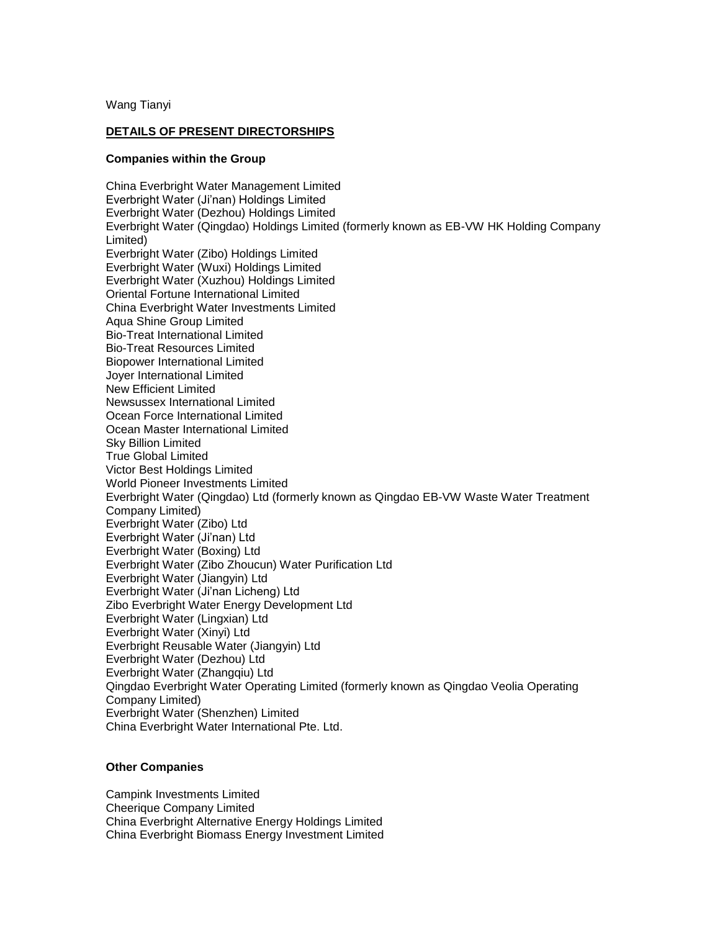Wang Tianyi

## **DETAILS OF PRESENT DIRECTORSHIPS**

## **Companies within the Group**

China Everbright Water Management Limited Everbright Water (Ji'nan) Holdings Limited Everbright Water (Dezhou) Holdings Limited Everbright Water (Qingdao) Holdings Limited (formerly known as EB-VW HK Holding Company Limited) Everbright Water (Zibo) Holdings Limited Everbright Water (Wuxi) Holdings Limited Everbright Water (Xuzhou) Holdings Limited Oriental Fortune International Limited China Everbright Water Investments Limited Aqua Shine Group Limited Bio-Treat International Limited Bio-Treat Resources Limited Biopower International Limited Joyer International Limited New Efficient Limited Newsussex International Limited Ocean Force International Limited Ocean Master International Limited Sky Billion Limited True Global Limited Victor Best Holdings Limited World Pioneer Investments Limited Everbright Water (Qingdao) Ltd (formerly known as Qingdao EB-VW Waste Water Treatment Company Limited) Everbright Water (Zibo) Ltd Everbright Water (Ji'nan) Ltd Everbright Water (Boxing) Ltd Everbright Water (Zibo Zhoucun) Water Purification Ltd Everbright Water (Jiangyin) Ltd Everbright Water (Ji'nan Licheng) Ltd Zibo Everbright Water Energy Development Ltd Everbright Water (Lingxian) Ltd Everbright Water (Xinyi) Ltd Everbright Reusable Water (Jiangyin) Ltd Everbright Water (Dezhou) Ltd Everbright Water (Zhangqiu) Ltd Qingdao Everbright Water Operating Limited (formerly known as Qingdao Veolia Operating Company Limited) Everbright Water (Shenzhen) Limited China Everbright Water International Pte. Ltd.

## **Other Companies**

Campink Investments Limited Cheerique Company Limited China Everbright Alternative Energy Holdings Limited China Everbright Biomass Energy Investment Limited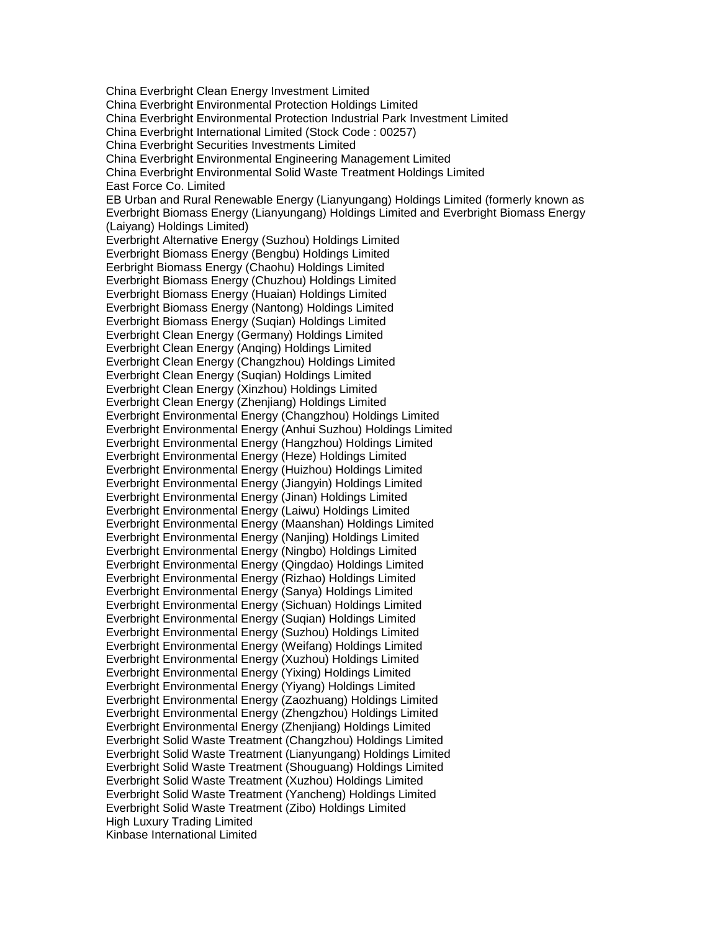China Everbright Clean Energy Investment Limited China Everbright Environmental Protection Holdings Limited China Everbright Environmental Protection Industrial Park Investment Limited China Everbright International Limited (Stock Code : 00257) China Everbright Securities Investments Limited China Everbright Environmental Engineering Management Limited China Everbright Environmental Solid Waste Treatment Holdings Limited East Force Co. Limited EB Urban and Rural Renewable Energy (Lianyungang) Holdings Limited (formerly known as Everbright Biomass Energy (Lianyungang) Holdings Limited and Everbright Biomass Energy (Laiyang) Holdings Limited) Everbright Alternative Energy (Suzhou) Holdings Limited Everbright Biomass Energy (Bengbu) Holdings Limited Eerbright Biomass Energy (Chaohu) Holdings Limited Everbright Biomass Energy (Chuzhou) Holdings Limited Everbright Biomass Energy (Huaian) Holdings Limited Everbright Biomass Energy (Nantong) Holdings Limited Everbright Biomass Energy (Suqian) Holdings Limited Everbright Clean Energy (Germany) Holdings Limited Everbright Clean Energy (Anqing) Holdings Limited Everbright Clean Energy (Changzhou) Holdings Limited Everbright Clean Energy (Suqian) Holdings Limited Everbright Clean Energy (Xinzhou) Holdings Limited Everbright Clean Energy (Zhenjiang) Holdings Limited Everbright Environmental Energy (Changzhou) Holdings Limited Everbright Environmental Energy (Anhui Suzhou) Holdings Limited Everbright Environmental Energy (Hangzhou) Holdings Limited Everbright Environmental Energy (Heze) Holdings Limited Everbright Environmental Energy (Huizhou) Holdings Limited Everbright Environmental Energy (Jiangyin) Holdings Limited Everbright Environmental Energy (Jinan) Holdings Limited Everbright Environmental Energy (Laiwu) Holdings Limited Everbright Environmental Energy (Maanshan) Holdings Limited Everbright Environmental Energy (Nanjing) Holdings Limited Everbright Environmental Energy (Ningbo) Holdings Limited Everbright Environmental Energy (Qingdao) Holdings Limited Everbright Environmental Energy (Rizhao) Holdings Limited Everbright Environmental Energy (Sanya) Holdings Limited Everbright Environmental Energy (Sichuan) Holdings Limited Everbright Environmental Energy (Suqian) Holdings Limited Everbright Environmental Energy (Suzhou) Holdings Limited Everbright Environmental Energy (Weifang) Holdings Limited Everbright Environmental Energy (Xuzhou) Holdings Limited Everbright Environmental Energy (Yixing) Holdings Limited Everbright Environmental Energy (Yiyang) Holdings Limited Everbright Environmental Energy (Zaozhuang) Holdings Limited Everbright Environmental Energy (Zhengzhou) Holdings Limited Everbright Environmental Energy (Zhenjiang) Holdings Limited Everbright Solid Waste Treatment (Changzhou) Holdings Limited Everbright Solid Waste Treatment (Lianyungang) Holdings Limited Everbright Solid Waste Treatment (Shouguang) Holdings Limited Everbright Solid Waste Treatment (Xuzhou) Holdings Limited Everbright Solid Waste Treatment (Yancheng) Holdings Limited Everbright Solid Waste Treatment (Zibo) Holdings Limited High Luxury Trading Limited Kinbase International Limited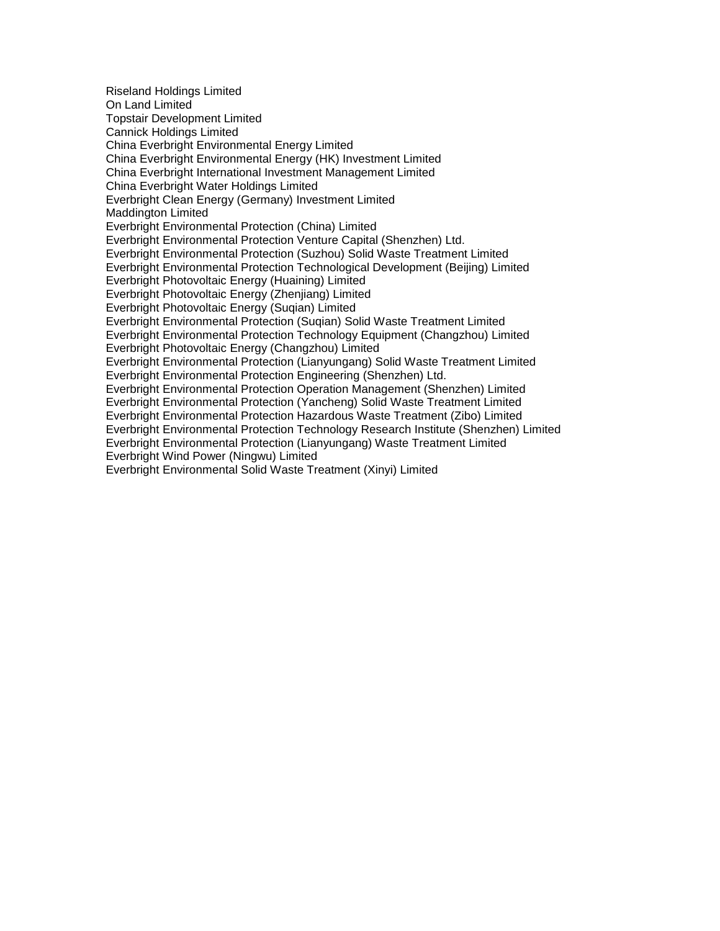Riseland Holdings Limited On Land Limited Topstair Development Limited Cannick Holdings Limited China Everbright Environmental Energy Limited China Everbright Environmental Energy (HK) Investment Limited China Everbright International Investment Management Limited China Everbright Water Holdings Limited Everbright Clean Energy (Germany) Investment Limited Maddington Limited Everbright Environmental Protection (China) Limited Everbright Environmental Protection Venture Capital (Shenzhen) Ltd. Everbright Environmental Protection (Suzhou) Solid Waste Treatment Limited Everbright Environmental Protection Technological Development (Beijing) Limited Everbright Photovoltaic Energy (Huaining) Limited Everbright Photovoltaic Energy (Zhenjiang) Limited Everbright Photovoltaic Energy (Suqian) Limited Everbright Environmental Protection (Suqian) Solid Waste Treatment Limited Everbright Environmental Protection Technology Equipment (Changzhou) Limited Everbright Photovoltaic Energy (Changzhou) Limited Everbright Environmental Protection (Lianyungang) Solid Waste Treatment Limited Everbright Environmental Protection Engineering (Shenzhen) Ltd. Everbright Environmental Protection Operation Management (Shenzhen) Limited Everbright Environmental Protection (Yancheng) Solid Waste Treatment Limited Everbright Environmental Protection Hazardous Waste Treatment (Zibo) Limited Everbright Environmental Protection Technology Research Institute (Shenzhen) Limited Everbright Environmental Protection (Lianyungang) Waste Treatment Limited Everbright Wind Power (Ningwu) Limited Everbright Environmental Solid Waste Treatment (Xinyi) Limited